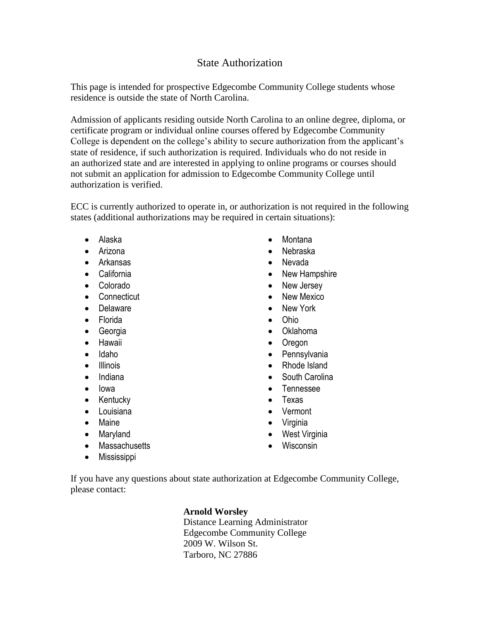## State Authorization

This page is intended for prospective Edgecombe Community College students whose residence is outside the state of North Carolina.

Admission of applicants residing outside North Carolina to an online degree, diploma, or certificate program or individual online courses offered by Edgecombe Community College is dependent on the college's ability to secure authorization from the applicant's state of residence, if such authorization is required. Individuals who do not reside in an authorized state and are interested in applying to online programs or courses should not submit an application for admission to Edgecombe Community College until authorization is verified.

ECC is currently authorized to operate in, or authorization is not required in the following states (additional authorizations may be required in certain situations):

- Alaska
- Arizona
- Arkansas
- California
- Colorado
- Connecticut
- Delaware
- Florida
- Georgia
- Hawaii
- Idaho
- Illinois
- Indiana
- lowa
- Kentucky
- Louisiana
- Maine
- Maryland
- Massachusetts
- **•** Mississippi
- Montana
- Nebraska
- Nevada
- New Hampshire
- New Jersey
- New Mexico
- New York
- Ohio
- Oklahoma
- Oregon
- Pennsylvania
- Rhode Island
- South Carolina
- Tennessee
- Texas
- Vermont
- Virginia
- West Virginia
- Wisconsin

If you have any questions about state authorization at Edgecombe Community College, please contact:

## **Arnold Worsley**

Distance Learning Administrator Edgecombe Community College 2009 W. Wilson St. Tarboro, NC 27886